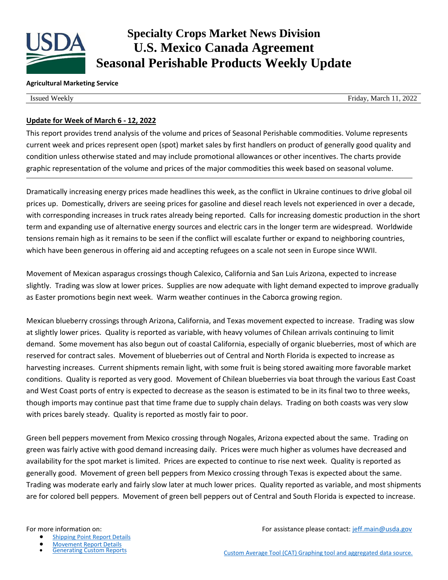

# **Specialty Crops Market News Division U.S. Mexico Canada Agreement Seasonal Perishable Products Weekly Update**

#### **Agricultural Marketing Service**

Issued Weekly Friday, March 11, 2022

### **Update for Week of March 6 - 12, 2022**

This report provides trend analysis of the volume and prices of Seasonal Perishable commodities. Volume represents current week and prices represent open (spot) market sales by first handlers on product of generally good quality and condition unless otherwise stated and may include promotional allowances or other incentives. The charts provide graphic representation of the volume and prices of the major commodities this week based on seasonal volume.

Dramatically increasing energy prices made headlines this week, as the conflict in Ukraine continues to drive global oil prices up. Domestically, drivers are seeing prices for gasoline and diesel reach levels not experienced in over a decade, with corresponding increases in truck rates already being reported. Calls for increasing domestic production in the short term and expanding use of alternative energy sources and electric cars in the longer term are widespread. Worldwide tensions remain high as it remains to be seen if the conflict will escalate further or expand to neighboring countries, which have been generous in offering aid and accepting refugees on a scale not seen in Europe since WWII.

Movement of Mexican asparagus crossings though Calexico, California and San Luis Arizona, expected to increase slightly. Trading was slow at lower prices. Supplies are now adequate with light demand expected to improve gradually as Easter promotions begin next week. Warm weather continues in the Caborca growing region.

Mexican blueberry crossings through Arizona, California, and Texas movement expected to increase. Trading was slow at slightly lower prices. Quality is reported as variable, with heavy volumes of Chilean arrivals continuing to limit demand. Some movement has also begun out of coastal California, especially of organic blueberries, most of which are reserved for contract sales. Movement of blueberries out of Central and North Florida is expected to increase as harvesting increases. Current shipments remain light, with some fruit is being stored awaiting more favorable market conditions. Quality is reported as very good. Movement of Chilean blueberries via boat through the various East Coast and West Coast ports of entry is expected to decrease as the season is estimated to be in its final two to three weeks, though imports may continue past that time frame due to supply chain delays. Trading on both coasts was very slow with prices barely steady. Quality is reported as mostly fair to poor.

Green bell peppers movement from Mexico crossing through Nogales, Arizona expected about the same. Trading on green was fairly active with good demand increasing daily. Prices were much higher as volumes have decreased and availability for the spot market is limited. Prices are expected to continue to rise next week. Quality is reported as generally good. Movement of green bell peppers from Mexico crossing through Texas is expected about the same. Trading was moderate early and fairly slow later at much lower prices. Quality reported as variable, and most shipments are for colored bell peppers. Movement of green bell peppers out of Central and South Florida is expected to increase.

- [Shipping Point Report Details](https://www.marketnews.usda.gov/mnp/fv-help-15)
- **[Movement Report Details](https://www.marketnews.usda.gov/mnp/fv-help-16)<br>Generating Custom Reports**

For more information on: The same of the set of the set of the set of the set of the set of the set of the set of the set of the set of the set of the set of the set of the set of the set of the set of the set of the set o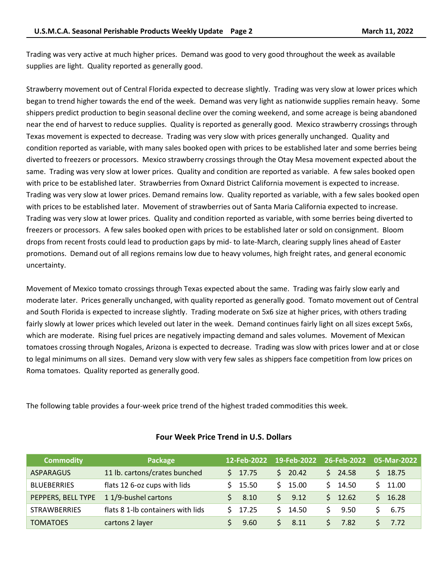Trading was very active at much higher prices. Demand was good to very good throughout the week as available supplies are light. Quality reported as generally good.

Strawberry movement out of Central Florida expected to decrease slightly. Trading was very slow at lower prices which began to trend higher towards the end of the week. Demand was very light as nationwide supplies remain heavy. Some shippers predict production to begin seasonal decline over the coming weekend, and some acreage is being abandoned near the end of harvest to reduce supplies. Quality is reported as generally good. Mexico strawberry crossings through Texas movement is expected to decrease. Trading was very slow with prices generally unchanged. Quality and condition reported as variable, with many sales booked open with prices to be established later and some berries being diverted to freezers or processors. Mexico strawberry crossings through the Otay Mesa movement expected about the same. Trading was very slow at lower prices. Quality and condition are reported as variable. A few sales booked open with price to be established later. Strawberries from Oxnard District California movement is expected to increase. Trading was very slow at lower prices. Demand remains low. Quality reported as variable, with a few sales booked open with prices to be established later. Movement of strawberries out of Santa Maria California expected to increase. Trading was very slow at lower prices. Quality and condition reported as variable, with some berries being diverted to freezers or processors. A few sales booked open with prices to be established later or sold on consignment. Bloom drops from recent frosts could lead to production gaps by mid- to late-March, clearing supply lines ahead of Easter promotions. Demand out of all regions remains low due to heavy volumes, high freight rates, and general economic uncertainty.

Movement of Mexico tomato crossings through Texas expected about the same. Trading was fairly slow early and moderate later. Prices generally unchanged, with quality reported as generally good. Tomato movement out of Central and South Florida is expected to increase slightly. Trading moderate on 5x6 size at higher prices, with others trading fairly slowly at lower prices which leveled out later in the week. Demand continues fairly light on all sizes except 5x6s, which are moderate. Rising fuel prices are negatively impacting demand and sales volumes. Movement of Mexican tomatoes crossing through Nogales, Arizona is expected to decrease. Trading was slow with prices lower and at or close to legal minimums on all sizes. Demand very slow with very few sales as shippers face competition from low prices on Roma tomatoes. Quality reported as generally good.

The following table provides a four-week price trend of the highest traded commodities this week.

| <b>Commodity</b>    | Package                           | 12-Feb-2022 | 19-Feb-2022 | 26-Feb-2022 | 05-Mar-2022 |
|---------------------|-----------------------------------|-------------|-------------|-------------|-------------|
| <b>ASPARAGUS</b>    | 11 lb. cartons/crates bunched     | 17.75<br>S. | \$20.42     | 24.58<br>S. | 18.75       |
| <b>BLUEBERRIES</b>  | flats 12 6-oz cups with lids      | 15.50       | \$15.00     | 14.50       | 11.00       |
| PEPPERS, BELL TYPE  | 11/9-bushel cartons               | 8.10        | S.<br>9.12  | 12.62       | 16.28       |
| <b>STRAWBERRIES</b> | flats 8 1-lb containers with lids | 17.25       | \$14.50     | 9.50        | 6.75        |
| <b>TOMATOES</b>     | cartons 2 layer                   | 9.60        | S.<br>8.11  | 7.82        | 7.72        |

### **Four Week Price Trend in U.S. Dollars**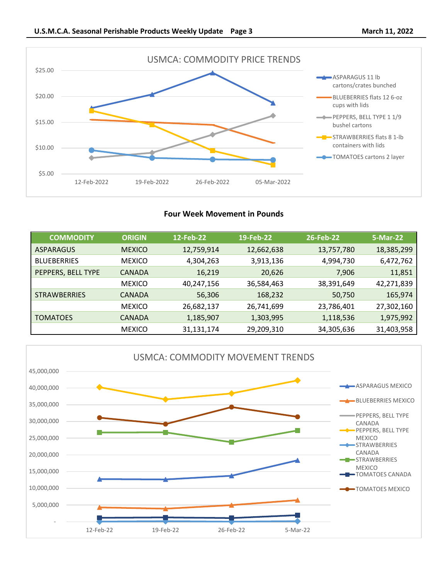



## **Four Week Movement in Pounds**

| <b>COMMODITY</b>    | <b>ORIGIN</b> | 12-Feb-22  | 19-Feb-22  | 26-Feb-22  | 5-Mar-22   |
|---------------------|---------------|------------|------------|------------|------------|
| <b>ASPARAGUS</b>    | <b>MEXICO</b> | 12,759,914 | 12,662,638 | 13,757,780 | 18,385,299 |
| <b>BLUEBERRIES</b>  | <b>MEXICO</b> | 4,304,263  | 3,913,136  | 4,994,730  | 6,472,762  |
| PEPPERS, BELL TYPE  | <b>CANADA</b> | 16,219     | 20,626     | 7,906      | 11,851     |
|                     | <b>MEXICO</b> | 40,247,156 | 36,584,463 | 38,391,649 | 42,271,839 |
| <b>STRAWBERRIES</b> | <b>CANADA</b> | 56,306     | 168,232    | 50,750     | 165,974    |
|                     | <b>MEXICO</b> | 26,682,137 | 26,741,699 | 23,786,401 | 27,302,160 |
| <b>TOMATOES</b>     | <b>CANADA</b> | 1,185,907  | 1,303,995  | 1,118,536  | 1,975,992  |
|                     | <b>MEXICO</b> | 31,131,174 | 29,209,310 | 34,305,636 | 31,403,958 |